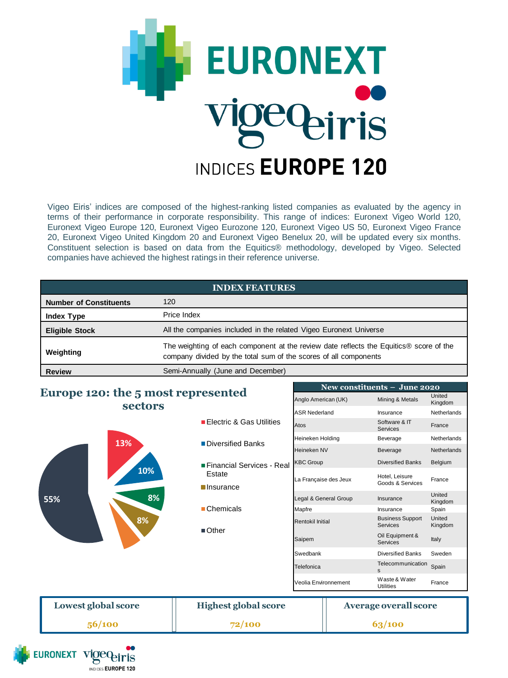

Vigeo Eiris' indices are composed of the highest-ranking listed companies as evaluated by the agency in terms of their performance in corporate responsibility. This range of indices: Euronext Vigeo World 120, Euronext Vigeo Europe 120, Euronext Vigeo Eurozone 120, Euronext Vigeo US 50, Euronext Vigeo France 20, Euronext Vigeo United Kingdom 20 and Euronext Vigeo Benelux 20, will be updated every six months. Constituent selection is based on data from the Equitics® methodology, developed by Vigeo. Selected companies have achieved the highest ratings in their reference universe.

| <b>INDEX FEATURES</b>         |                                                                                                                                                            |  |  |
|-------------------------------|------------------------------------------------------------------------------------------------------------------------------------------------------------|--|--|
| <b>Number of Constituents</b> | 120                                                                                                                                                        |  |  |
| <b>Index Type</b>             | Price Index                                                                                                                                                |  |  |
| <b>Eligible Stock</b>         | All the companies included in the related Vigeo Euronext Universe                                                                                          |  |  |
| Weighting                     | The weighting of each component at the review date reflects the Equitics® score of the<br>company divided by the total sum of the scores of all components |  |  |
| <b>Review</b>                 | Semi-Annually (June and December)                                                                                                                          |  |  |

**New constituents – June 2020** Anglo American (UK) Mining & Metals United

ASR Nederland Insurance Netherlands

Kingdom

# **Europe 120: the 5 most represented sectors**



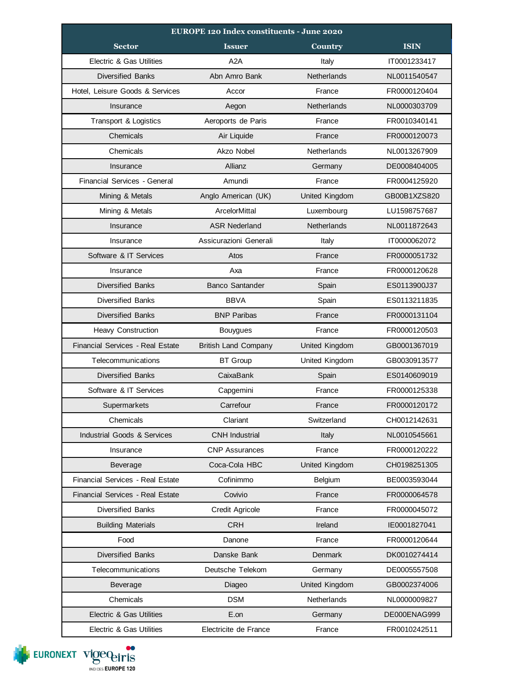| EUROPE 120 Index constituents - June 2020 |                             |                       |              |  |
|-------------------------------------------|-----------------------------|-----------------------|--------------|--|
| <b>Sector</b>                             | <b>Issuer</b>               | <b>Country</b>        | <b>ISIN</b>  |  |
| Electric & Gas Utilities                  | A2A                         | Italy                 | IT0001233417 |  |
| <b>Diversified Banks</b>                  | Abn Amro Bank               | <b>Netherlands</b>    | NL0011540547 |  |
| Hotel, Leisure Goods & Services           | Accor                       | France                | FR0000120404 |  |
| Insurance                                 | Aegon                       | <b>Netherlands</b>    | NL0000303709 |  |
| Transport & Logistics                     | Aeroports de Paris          | France                | FR0010340141 |  |
| Chemicals                                 | Air Liquide                 | France                | FR0000120073 |  |
| Chemicals                                 | Akzo Nobel                  | <b>Netherlands</b>    | NL0013267909 |  |
| Insurance                                 | Allianz                     | Germany               | DE0008404005 |  |
| Financial Services - General              | Amundi                      | France                | FR0004125920 |  |
| Mining & Metals                           | Anglo American (UK)         | United Kingdom        | GB00B1XZS820 |  |
| Mining & Metals                           | ArcelorMittal               | Luxembourg            | LU1598757687 |  |
| Insurance                                 | <b>ASR Nederland</b>        | <b>Netherlands</b>    | NL0011872643 |  |
| Insurance                                 | Assicurazioni Generali      | Italy                 | IT0000062072 |  |
| Software & IT Services                    | Atos                        | France                | FR0000051732 |  |
| Insurance                                 | Axa                         | France                | FR0000120628 |  |
| <b>Diversified Banks</b>                  | <b>Banco Santander</b>      | Spain                 | ES0113900J37 |  |
| <b>Diversified Banks</b>                  | <b>BBVA</b>                 | Spain                 | ES0113211835 |  |
| <b>Diversified Banks</b>                  | <b>BNP Paribas</b>          | France                | FR0000131104 |  |
| <b>Heavy Construction</b>                 | <b>Bouygues</b>             | France                | FR0000120503 |  |
| <b>Financial Services - Real Estate</b>   | <b>British Land Company</b> | United Kingdom        | GB0001367019 |  |
| Telecommunications                        | <b>BT Group</b>             | United Kingdom        | GB0030913577 |  |
| <b>Diversified Banks</b>                  | CaixaBank                   | Spain                 | ES0140609019 |  |
| Software & IT Services                    | Capgemini                   | France                | FR0000125338 |  |
| Supermarkets                              | Carrefour                   | France                | FR0000120172 |  |
| Chemicals                                 | Clariant                    | Switzerland           | CH0012142631 |  |
| Industrial Goods & Services               | <b>CNH</b> Industrial       | Italy                 | NL0010545661 |  |
| Insurance                                 | <b>CNP Assurances</b>       | France                | FR0000120222 |  |
| Beverage                                  | Coca-Cola HBC               | <b>United Kingdom</b> | CH0198251305 |  |
| Financial Services - Real Estate          | Cofinimmo                   | Belgium               | BE0003593044 |  |
| Financial Services - Real Estate          | Covivio                     | France                | FR0000064578 |  |
| <b>Diversified Banks</b>                  | Credit Agricole             | France                | FR0000045072 |  |
| <b>Building Materials</b>                 | <b>CRH</b>                  | Ireland               | IE0001827041 |  |
| Food                                      | Danone                      | France                | FR0000120644 |  |
| <b>Diversified Banks</b>                  | Danske Bank                 | Denmark               | DK0010274414 |  |
| Telecommunications                        | Deutsche Telekom            | Germany               | DE0005557508 |  |
| Beverage                                  | Diageo                      | <b>United Kingdom</b> | GB0002374006 |  |
| Chemicals                                 | DSM                         | Netherlands           | NL0000009827 |  |
| Electric & Gas Utilities                  | E.on                        | Germany               | DE000ENAG999 |  |
| Electric & Gas Utilities                  | Electricite de France       | France                | FR0010242511 |  |

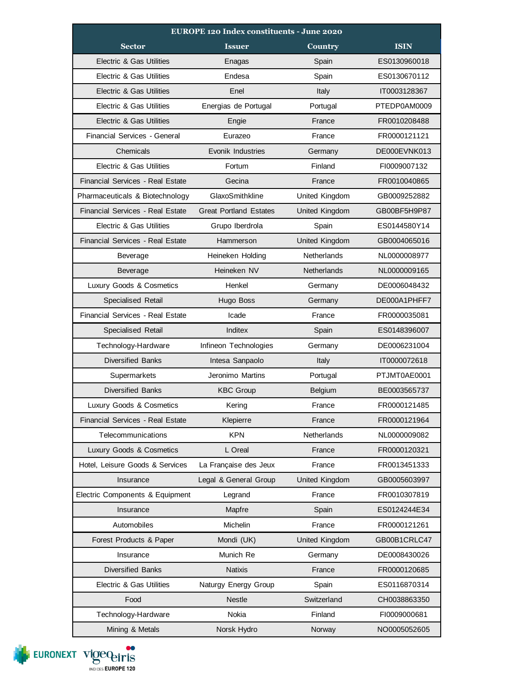| <b>EUROPE 120 Index constituents - June 2020</b> |                               |                |              |  |
|--------------------------------------------------|-------------------------------|----------------|--------------|--|
| <b>Sector</b>                                    | <b>Issuer</b>                 | <b>Country</b> | <b>ISIN</b>  |  |
| Electric & Gas Utilities                         | Enagas                        | Spain          | ES0130960018 |  |
| Electric & Gas Utilities                         | Endesa                        | Spain          | ES0130670112 |  |
| <b>Electric &amp; Gas Utilities</b>              | Enel                          | Italy          | IT0003128367 |  |
| Electric & Gas Utilities                         | Energias de Portugal          | Portugal       | PTEDP0AM0009 |  |
| Electric & Gas Utilities                         | Engie                         | France         | FR0010208488 |  |
| Financial Services - General                     | Eurazeo                       | France         | FR0000121121 |  |
| Chemicals                                        | Evonik Industries             | Germany        | DE000EVNK013 |  |
| Electric & Gas Utilities                         | Fortum                        | Finland        | FI0009007132 |  |
| Financial Services - Real Estate                 | Gecina                        | France         | FR0010040865 |  |
| Pharmaceuticals & Biotechnology                  | GlaxoSmithkline               | United Kingdom | GB0009252882 |  |
| <b>Financial Services - Real Estate</b>          | <b>Great Portland Estates</b> | United Kingdom | GB00BF5H9P87 |  |
| Electric & Gas Utilities                         | Grupo Iberdrola               | Spain          | ES0144580Y14 |  |
| <b>Financial Services - Real Estate</b>          | Hammerson                     | United Kingdom | GB0004065016 |  |
| Beverage                                         | Heineken Holding              | Netherlands    | NL0000008977 |  |
| Beverage                                         | Heineken NV                   | Netherlands    | NL0000009165 |  |
| Luxury Goods & Cosmetics                         | Henkel                        | Germany        | DE0006048432 |  |
| Specialised Retail                               | Hugo Boss                     | Germany        | DE000A1PHFF7 |  |
| Financial Services - Real Estate                 | Icade                         | France         | FR0000035081 |  |
| Specialised Retail                               | Inditex                       | Spain          | ES0148396007 |  |
| Technology-Hardware                              | Infineon Technologies         | Germany        | DE0006231004 |  |
| <b>Diversified Banks</b>                         | Intesa Sanpaolo               | Italy          | IT0000072618 |  |
| Supermarkets                                     | Jeronimo Martins              | Portugal       | PTJMT0AE0001 |  |
| <b>Diversified Banks</b>                         | <b>KBC Group</b>              | <b>Belgium</b> | BE0003565737 |  |
| Luxury Goods & Cosmetics                         | Kering                        | France         | FR0000121485 |  |
| <b>Financial Services - Real Estate</b>          | Klepierre                     | France         | FR0000121964 |  |
| Telecommunications                               | <b>KPN</b>                    | Netherlands    | NL0000009082 |  |
| Luxury Goods & Cosmetics                         | L Oreal                       | France         | FR0000120321 |  |
| Hotel, Leisure Goods & Services                  | La Française des Jeux         | France         | FR0013451333 |  |
| Insurance                                        | Legal & General Group         | United Kingdom | GB0005603997 |  |
| Electric Components & Equipment                  | Legrand                       | France         | FR0010307819 |  |
| Insurance                                        | Mapfre                        | Spain          | ES0124244E34 |  |
| Automobiles                                      | Michelin                      | France         | FR0000121261 |  |
| Forest Products & Paper                          | Mondi (UK)                    | United Kingdom | GB00B1CRLC47 |  |
| Insurance                                        | Munich Re                     | Germany        | DE0008430026 |  |
| <b>Diversified Banks</b>                         | <b>Natixis</b>                | France         | FR0000120685 |  |
| Electric & Gas Utilities                         | Naturgy Energy Group          | Spain          | ES0116870314 |  |
| Food                                             | <b>Nestle</b>                 | Switzerland    | CH0038863350 |  |
| Technology-Hardware                              | Nokia                         | Finland        | FI0009000681 |  |
| Mining & Metals                                  | Norsk Hydro                   | Norway         | NO0005052605 |  |

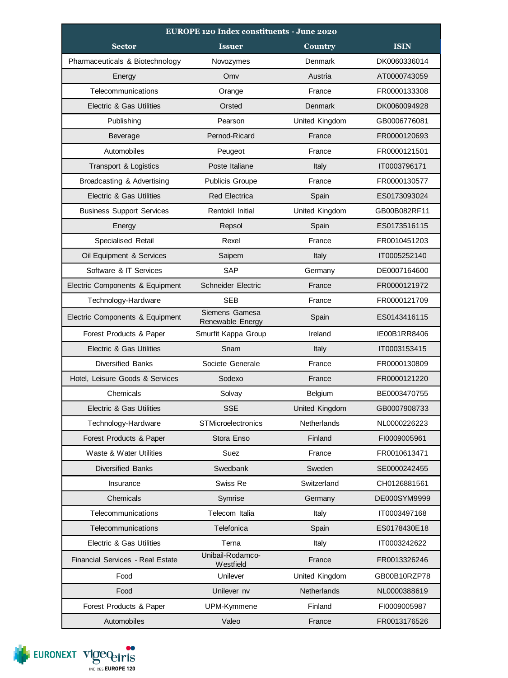| <b>EUROPE 120 Index constituents - June 2020</b> |                                    |                |              |  |  |
|--------------------------------------------------|------------------------------------|----------------|--------------|--|--|
| <b>Sector</b>                                    | <b>Issuer</b>                      | Country        | <b>ISIN</b>  |  |  |
| Pharmaceuticals & Biotechnology                  | Novozymes                          | Denmark        | DK0060336014 |  |  |
| Energy                                           | Omv                                | Austria        | AT0000743059 |  |  |
| Telecommunications                               | Orange                             | France         | FR0000133308 |  |  |
| <b>Electric &amp; Gas Utilities</b>              | Orsted                             | Denmark        | DK0060094928 |  |  |
| Publishing                                       | Pearson                            | United Kingdom | GB0006776081 |  |  |
| Beverage                                         | Pernod-Ricard                      | France         | FR0000120693 |  |  |
| Automobiles                                      | Peugeot                            | France         | FR0000121501 |  |  |
| Transport & Logistics                            | Poste Italiane                     | Italy          | IT0003796171 |  |  |
| Broadcasting & Advertising                       | <b>Publicis Groupe</b>             | France         | FR0000130577 |  |  |
| <b>Electric &amp; Gas Utilities</b>              | <b>Red Electrica</b>               | Spain          | ES0173093024 |  |  |
| <b>Business Support Services</b>                 | Rentokil Initial                   | United Kingdom | GB00B082RF11 |  |  |
| Energy                                           | Repsol                             | Spain          | ES0173516115 |  |  |
| Specialised Retail                               | Rexel                              | France         | FR0010451203 |  |  |
| Oil Equipment & Services                         | Saipem                             | Italy          | IT0005252140 |  |  |
| Software & IT Services                           | <b>SAP</b>                         | Germany        | DE0007164600 |  |  |
| Electric Components & Equipment                  | <b>Schneider Electric</b>          | France         | FR0000121972 |  |  |
| Technology-Hardware                              | <b>SEB</b>                         | France         | FR0000121709 |  |  |
| Electric Components & Equipment                  | Siemens Gamesa<br>Renewable Energy | Spain          | ES0143416115 |  |  |
| Forest Products & Paper                          | Smurfit Kappa Group                | Ireland        | IE00B1RR8406 |  |  |
| <b>Electric &amp; Gas Utilities</b>              | Snam                               | Italy          | IT0003153415 |  |  |
| <b>Diversified Banks</b>                         | Societe Generale                   | France         | FR0000130809 |  |  |
| Hotel, Leisure Goods & Services                  | Sodexo                             | France         | FR0000121220 |  |  |
| Chemicals                                        | Solvay                             | Belgium        | BE0003470755 |  |  |
| <b>Electric &amp; Gas Utilities</b>              | <b>SSE</b>                         | United Kingdom | GB0007908733 |  |  |
| Technology-Hardware                              | STMicroelectronics                 | Netherlands    | NL0000226223 |  |  |
| Forest Products & Paper                          | Stora Enso                         | Finland        | FI0009005961 |  |  |
| Waste & Water Utilities                          | Suez                               | France         | FR0010613471 |  |  |
| <b>Diversified Banks</b>                         | Swedbank                           | Sweden         | SE0000242455 |  |  |
| Insurance                                        | Swiss Re                           | Switzerland    | CH0126881561 |  |  |
| Chemicals                                        | Symrise                            | Germany        | DE000SYM9999 |  |  |
| Telecommunications                               | Telecom Italia                     | Italy          | IT0003497168 |  |  |
| Telecommunications                               | Telefonica                         | Spain          | ES0178430E18 |  |  |
| <b>Electric &amp; Gas Utilities</b>              | Terna                              | Italy          | IT0003242622 |  |  |
| <b>Financial Services - Real Estate</b>          | Unibail-Rodamco-<br>Westfield      | France         | FR0013326246 |  |  |
| Food                                             | Unilever                           | United Kingdom | GB00B10RZP78 |  |  |
| Food                                             | Unilever nv                        | Netherlands    | NL0000388619 |  |  |
| Forest Products & Paper                          | UPM-Kymmene                        | Finland        | FI0009005987 |  |  |
| Automobiles                                      | Valeo                              | France         | FR0013176526 |  |  |

EURONEXT VIOCO PITIS